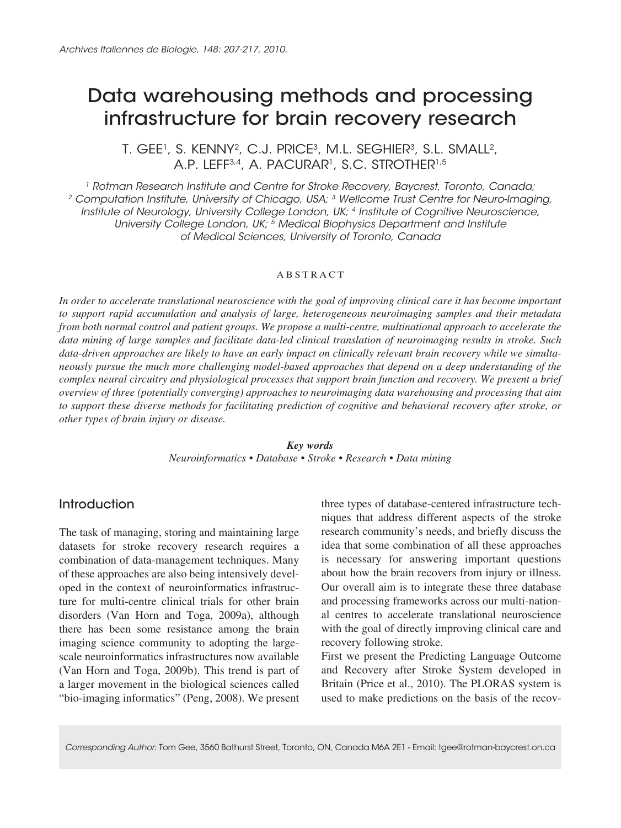# Data warehousing methods and processing infrastructure for brain recovery research

T. GEE<sup>1</sup>, S. KENNY<sup>2</sup>, C.J. PRICE<sup>3</sup>, M.L. SEGHIER<sup>3</sup>, S.L. SMALL<sup>2</sup>, A.P. LEFF<sup>3,4</sup>, A. PACURAR<sup>1</sup>, S.C. STROTHER<sup>1,5</sup>

*1 Rotman Research Institute and Centre for Stroke Recovery, Baycrest, Toronto, Canada; 2 Computation Institute, University of Chicago, USA; 3 Wellcome Trust Centre for Neuro-Imaging, Institute of Neurology, University College London, UK; 4 Institute of Cognitive Neuroscience, University College London, UK; 5 Medical Biophysics Department and Institute of Medical Sciences, University of Toronto, Canada*

#### **ABSTRACT**

In order to accelerate translational neuroscience with the goal of improving clinical care it has become important *to support rapid accumulation and analysis of large, heterogeneous neuroimaging samples and their metadata from both normal control and patient groups. We propose a multi-centre, multinational approach to accelerate the data mining of large samples and facilitate data-led clinical translation of neuroimaging results in stroke. Such data-driven approaches are likely to have an early impact on clinically relevant brain recovery while we simultaneously pursue the much more challenging model-based approaches that depend on a deep understanding of the complex neural circuitry and physiological processes that support brain function and recovery. We present a brief overview of three (potentially converging) approaches to neuroimaging data warehousing and processing that aim to support these diverse methods for facilitating prediction of cognitive and behavioral recovery after stroke, or other types of brain injury or disease.*

> *Key words Neuroinformatics • Database • Stroke • Research • Data mining*

## **Introduction**

The task of managing, storing and maintaining large datasets for stroke recovery research requires a combination of data-management techniques. Many of these approaches are also being intensively developed in the context of neuroinformatics infrastructure for multi-centre clinical trials for other brain disorders (Van Horn and Toga, 2009a), although there has been some resistance among the brain imaging science community to adopting the largescale neuroinformatics infrastructures now available (Van Horn and Toga, 2009b). This trend is part of a larger movement in the biological sciences called "bio-imaging informatics" (Peng, 2008). We present

three types of database-centered infrastructure techniques that address different aspects of the stroke research community's needs, and briefly discuss the idea that some combination of all these approaches is necessary for answering important questions about how the brain recovers from injury or illness. Our overall aim is to integrate these three database and processing frameworks across our multi-national centres to accelerate translational neuroscience with the goal of directly improving clinical care and recovery following stroke.

First we present the Predicting Language Outcome and Recovery after Stroke System developed in Britain (Price et al., 2010). The PLORAS system is used to make predictions on the basis of the recov-

*Corresponding Author*: Tom Gee, 3560 Bathurst Street, Toronto, ON, Canada M6A 2E1 - Email: tgee@rotman-baycrest.on.ca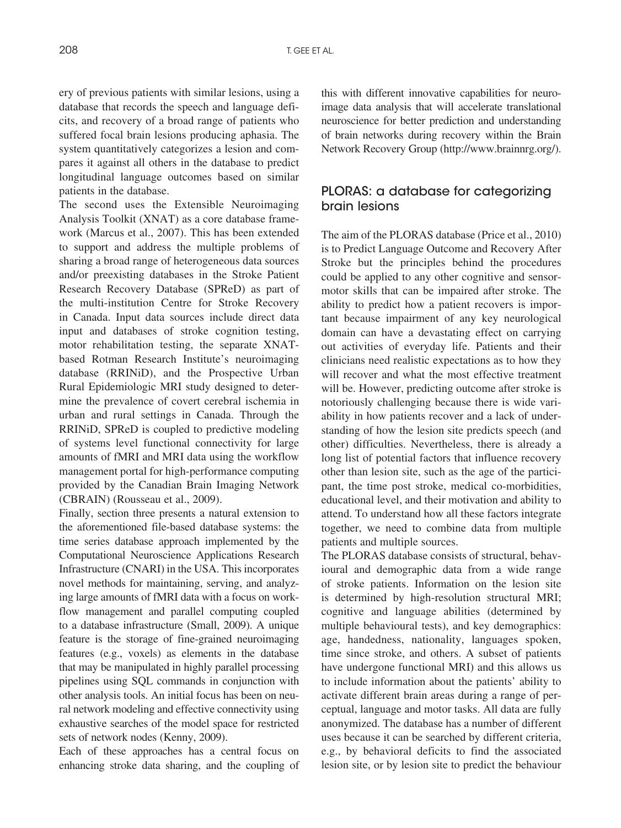ery of previous patients with similar lesions, using a database that records the speech and language deficits, and recovery of a broad range of patients who suffered focal brain lesions producing aphasia. The system quantitatively categorizes a lesion and compares it against all others in the database to predict longitudinal language outcomes based on similar patients in the database.

The second uses the Extensible Neuroimaging Analysis Toolkit (XNAT) as a core database framework (Marcus et al., 2007). This has been extended to support and address the multiple problems of sharing a broad range of heterogeneous data sources and/or preexisting databases in the Stroke Patient Research Recovery Database (SPReD) as part of the multi-institution Centre for Stroke Recovery in Canada. Input data sources include direct data input and databases of stroke cognition testing, motor rehabilitation testing, the separate XNATbased Rotman Research Institute's neuroimaging database (RRINiD), and the Prospective Urban Rural Epidemiologic MRI study designed to determine the prevalence of covert cerebral ischemia in urban and rural settings in Canada. Through the RRINiD, SPReD is coupled to predictive modeling of systems level functional connectivity for large amounts of fMRI and MRI data using the workflow management portal for high-performance computing provided by the Canadian Brain Imaging Network (CBRAIN) (Rousseau et al., 2009).

Finally, section three presents a natural extension to the aforementioned file-based database systems: the time series database approach implemented by the Computational Neuroscience Applications Research Infrastructure (CNARI) in the USA. This incorporates novel methods for maintaining, serving, and analyzing large amounts of fMRI data with a focus on workflow management and parallel computing coupled to a database infrastructure (Small, 2009). A unique feature is the storage of fine-grained neuroimaging features (e.g., voxels) as elements in the database that may be manipulated in highly parallel processing pipelines using SQL commands in conjunction with other analysis tools. An initial focus has been on neural network modeling and effective connectivity using exhaustive searches of the model space for restricted sets of network nodes (Kenny, 2009).

Each of these approaches has a central focus on enhancing stroke data sharing, and the coupling of this with different innovative capabilities for neuroimage data analysis that will accelerate translational neuroscience for better prediction and understanding of brain networks during recovery within the Brain Network Recovery Group (http://www.brainnrg.org/).

# PLORAS: a database for categorizing brain lesions

The aim of the PLORAS database (Price et al., 2010) is to Predict Language Outcome and Recovery After Stroke but the principles behind the procedures could be applied to any other cognitive and sensormotor skills that can be impaired after stroke. The ability to predict how a patient recovers is important because impairment of any key neurological domain can have a devastating effect on carrying out activities of everyday life. Patients and their clinicians need realistic expectations as to how they will recover and what the most effective treatment will be. However, predicting outcome after stroke is notoriously challenging because there is wide variability in how patients recover and a lack of understanding of how the lesion site predicts speech (and other) difficulties. Nevertheless, there is already a long list of potential factors that influence recovery other than lesion site, such as the age of the participant, the time post stroke, medical co-morbidities, educational level, and their motivation and ability to attend. To understand how all these factors integrate together, we need to combine data from multiple patients and multiple sources.

The PLORAS database consists of structural, behavioural and demographic data from a wide range of stroke patients. Information on the lesion site is determined by high-resolution structural MRI; cognitive and language abilities (determined by multiple behavioural tests), and key demographics: age, handedness, nationality, languages spoken, time since stroke, and others. A subset of patients have undergone functional MRI) and this allows us to include information about the patients' ability to activate different brain areas during a range of perceptual, language and motor tasks. All data are fully anonymized. The database has a number of different uses because it can be searched by different criteria, e.g., by behavioral deficits to find the associated lesion site, or by lesion site to predict the behaviour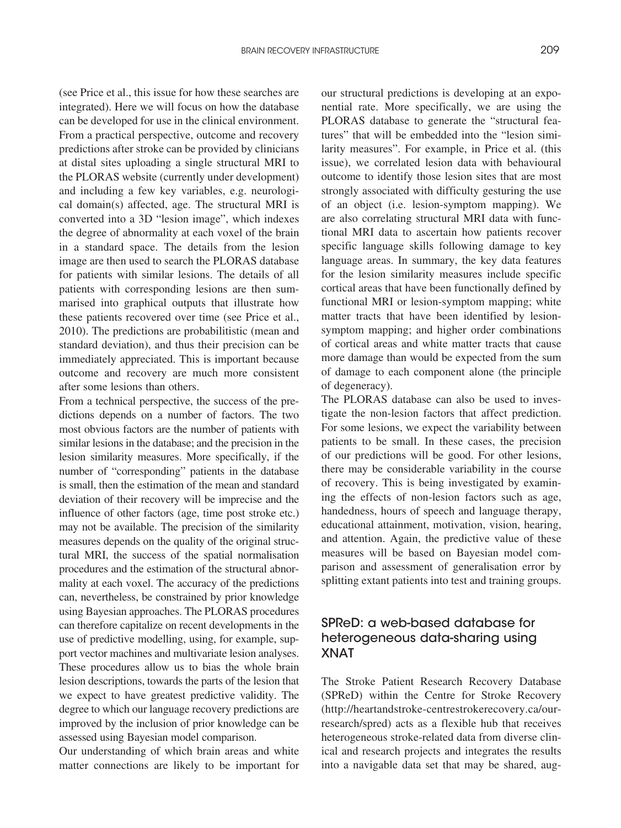(see Price et al., this issue for how these searches are integrated). Here we will focus on how the database can be developed for use in the clinical environment. From a practical perspective, outcome and recovery predictions after stroke can be provided by clinicians at distal sites uploading a single structural MRI to the PLORAS website (currently under development) and including a few key variables, e.g. neurological domain(s) affected, age. The structural MRI is converted into a 3D "lesion image", which indexes the degree of abnormality at each voxel of the brain in a standard space. The details from the lesion image are then used to search the PLORAS database for patients with similar lesions. The details of all patients with corresponding lesions are then summarised into graphical outputs that illustrate how these patients recovered over time (see Price et al., 2010). The predictions are probabilitistic (mean and standard deviation), and thus their precision can be immediately appreciated. This is important because outcome and recovery are much more consistent after some lesions than others.

From a technical perspective, the success of the predictions depends on a number of factors. The two most obvious factors are the number of patients with similar lesions in the database; and the precision in the lesion similarity measures. More specifically, if the number of "corresponding" patients in the database is small, then the estimation of the mean and standard deviation of their recovery will be imprecise and the influence of other factors (age, time post stroke etc.) may not be available. The precision of the similarity measures depends on the quality of the original structural MRI, the success of the spatial normalisation procedures and the estimation of the structural abnormality at each voxel. The accuracy of the predictions can, nevertheless, be constrained by prior knowledge using Bayesian approaches. The PLORAS procedures can therefore capitalize on recent developments in the use of predictive modelling, using, for example, support vector machines and multivariate lesion analyses. These procedures allow us to bias the whole brain lesion descriptions, towards the parts of the lesion that we expect to have greatest predictive validity. The degree to which our language recovery predictions are improved by the inclusion of prior knowledge can be assessed using Bayesian model comparison.

Our understanding of which brain areas and white matter connections are likely to be important for our structural predictions is developing at an exponential rate. More specifically, we are using the PLORAS database to generate the "structural features" that will be embedded into the "lesion similarity measures". For example, in Price et al. (this issue), we correlated lesion data with behavioural outcome to identify those lesion sites that are most strongly associated with difficulty gesturing the use of an object (i.e. lesion-symptom mapping). We are also correlating structural MRI data with functional MRI data to ascertain how patients recover specific language skills following damage to key language areas. In summary, the key data features for the lesion similarity measures include specific cortical areas that have been functionally defined by functional MRI or lesion-symptom mapping; white matter tracts that have been identified by lesionsymptom mapping; and higher order combinations of cortical areas and white matter tracts that cause more damage than would be expected from the sum of damage to each component alone (the principle of degeneracy).

The PLORAS database can also be used to investigate the non-lesion factors that affect prediction. For some lesions, we expect the variability between patients to be small. In these cases, the precision of our predictions will be good. For other lesions, there may be considerable variability in the course of recovery. This is being investigated by examining the effects of non-lesion factors such as age, handedness, hours of speech and language therapy, educational attainment, motivation, vision, hearing, and attention. Again, the predictive value of these measures will be based on Bayesian model comparison and assessment of generalisation error by splitting extant patients into test and training groups.

# SPReD: a web-based database for heterogeneous data-sharing using XNAT

The Stroke Patient Research Recovery Database (SPReD) within the Centre for Stroke Recovery (http://heartandstroke-centrestrokerecovery.ca/ourresearch/spred) acts as a flexible hub that receives heterogeneous stroke-related data from diverse clinical and research projects and integrates the results into a navigable data set that may be shared, aug-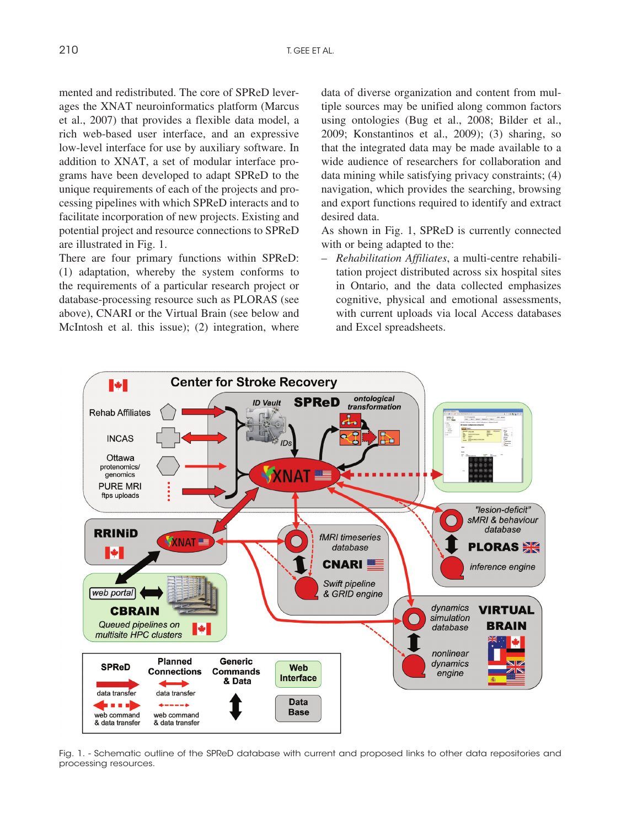mented and redistributed. The core of SPReD leverages the XNAT neuroinformatics platform (Marcus et al., 2007) that provides a flexible data model, a rich web-based user interface, and an expressive low-level interface for use by auxiliary software. In addition to XNAT, a set of modular interface programs have been developed to adapt SPReD to the unique requirements of each of the projects and processing pipelines with which SPReD interacts and to facilitate incorporation of new projects. Existing and potential project and resource connections to SPReD are illustrated in Fig. 1.

There are four primary functions within SPReD: (1) adaptation, whereby the system conforms to the requirements of a particular research project or database-processing resource such as PLORAS (see above), CNARI or the Virtual Brain (see below and McIntosh et al. this issue); (2) integration, where data of diverse organization and content from multiple sources may be unified along common factors using ontologies (Bug et al., 2008; Bilder et al., 2009; Konstantinos et al., 2009); (3) sharing, so that the integrated data may be made available to a wide audience of researchers for collaboration and data mining while satisfying privacy constraints; (4) navigation, which provides the searching, browsing and export functions required to identify and extract desired data.

As shown in Fig. 1, SPReD is currently connected with or being adapted to the:

– *Rehabilitation Affiliates*, a multi-centre rehabilitation project distributed across six hospital sites in Ontario, and the data collected emphasizes cognitive, physical and emotional assessments, with current uploads via local Access databases and Excel spreadsheets.



Fig. 1. - Schematic outline of the SPReD database with current and proposed links to other data repositories and processing resources.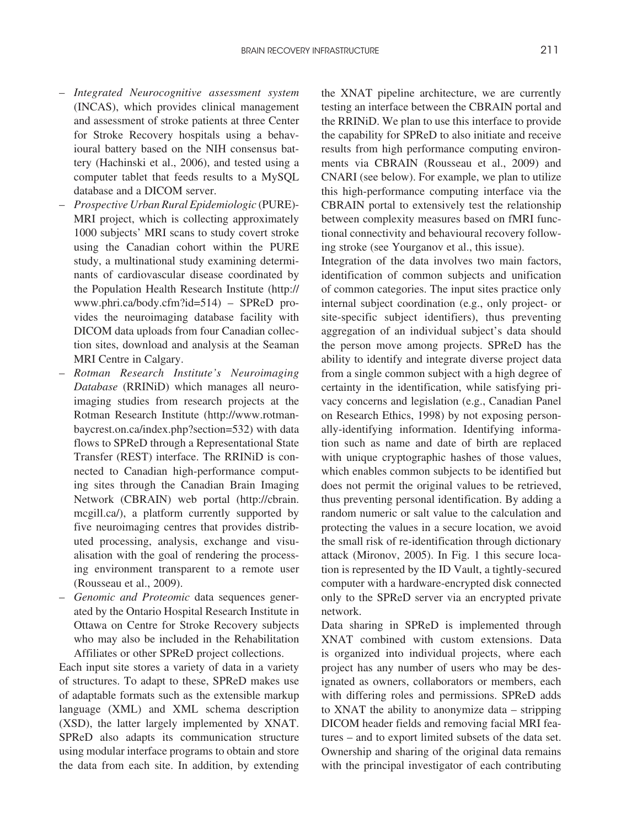- *Integrated Neurocognitive assessment system* (INCAS), which provides clinical management and assessment of stroke patients at three Center for Stroke Recovery hospitals using a behavioural battery based on the NIH consensus battery (Hachinski et al., 2006), and tested using a computer tablet that feeds results to a MySQL database and a DICOM server.
- *Prospective Urban Rural Epidemiologic* (PURE)- MRI project, which is collecting approximately 1000 subjects' MRI scans to study covert stroke using the Canadian cohort within the PURE study, a multinational study examining determinants of cardiovascular disease coordinated by the Population Health Research Institute (http:// www.phri.ca/body.cfm?id=514) – SPReD provides the neuroimaging database facility with DICOM data uploads from four Canadian collection sites, download and analysis at the Seaman MRI Centre in Calgary.
- *Rotman Research Institute's Neuroimaging Database* (RRINiD) which manages all neuroimaging studies from research projects at the Rotman Research Institute (http://www.rotmanbaycrest.on.ca/index.php?section=532) with data flows to SPReD through a Representational State Transfer (REST) interface. The RRINiD is connected to Canadian high-performance computing sites through the Canadian Brain Imaging Network (CBRAIN) web portal (http://cbrain. mcgill.ca/), a platform currently supported by five neuroimaging centres that provides distributed processing, analysis, exchange and visualisation with the goal of rendering the processing environment transparent to a remote user (Rousseau et al., 2009).
- *Genomic and Proteomic* data sequences generated by the Ontario Hospital Research Institute in Ottawa on Centre for Stroke Recovery subjects who may also be included in the Rehabilitation Affiliates or other SPReD project collections.

Each input site stores a variety of data in a variety of structures. To adapt to these, SPReD makes use of adaptable formats such as the extensible markup language (XML) and XML schema description (XSD), the latter largely implemented by XNAT. SPReD also adapts its communication structure using modular interface programs to obtain and store the data from each site. In addition, by extending the XNAT pipeline architecture, we are currently testing an interface between the CBRAIN portal and the RRINiD. We plan to use this interface to provide the capability for SPReD to also initiate and receive results from high performance computing environments via CBRAIN (Rousseau et al., 2009) and CNARI (see below). For example, we plan to utilize this high-performance computing interface via the CBRAIN portal to extensively test the relationship between complexity measures based on fMRI functional connectivity and behavioural recovery following stroke (see Yourganov et al., this issue).

Integration of the data involves two main factors, identification of common subjects and unification of common categories. The input sites practice only internal subject coordination (e.g., only project- or site-specific subject identifiers), thus preventing aggregation of an individual subject's data should the person move among projects. SPReD has the ability to identify and integrate diverse project data from a single common subject with a high degree of certainty in the identification, while satisfying privacy concerns and legislation (e.g., Canadian Panel on Research Ethics, 1998) by not exposing personally-identifying information. Identifying information such as name and date of birth are replaced with unique cryptographic hashes of those values, which enables common subjects to be identified but does not permit the original values to be retrieved, thus preventing personal identification. By adding a random numeric or salt value to the calculation and protecting the values in a secure location, we avoid the small risk of re-identification through dictionary attack (Mironov, 2005). In Fig. 1 this secure location is represented by the ID Vault, a tightly-secured computer with a hardware-encrypted disk connected only to the SPReD server via an encrypted private network.

Data sharing in SPReD is implemented through XNAT combined with custom extensions. Data is organized into individual projects, where each project has any number of users who may be designated as owners, collaborators or members, each with differing roles and permissions. SPReD adds to XNAT the ability to anonymize data – stripping DICOM header fields and removing facial MRI features – and to export limited subsets of the data set. Ownership and sharing of the original data remains with the principal investigator of each contributing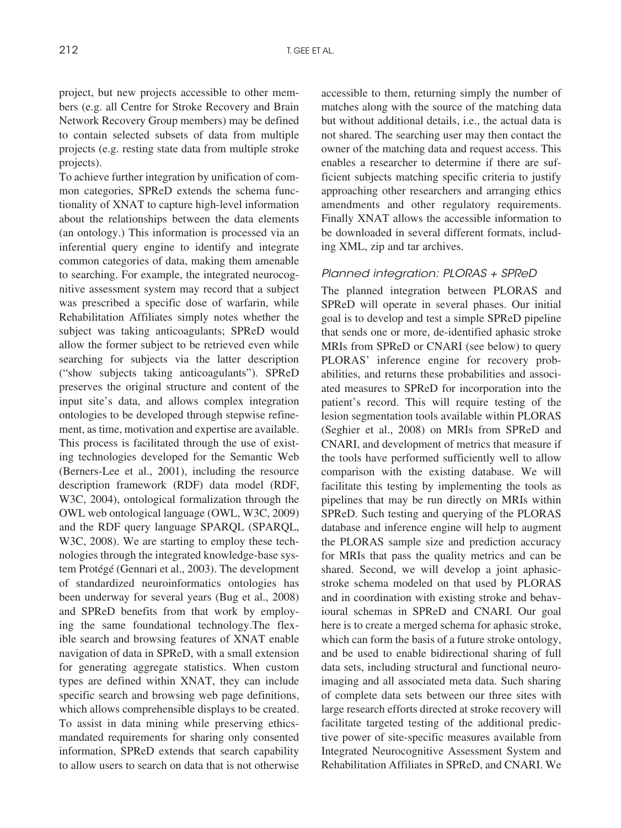project, but new projects accessible to other members (e.g. all Centre for Stroke Recovery and Brain Network Recovery Group members) may be defined to contain selected subsets of data from multiple projects (e.g. resting state data from multiple stroke projects).

To achieve further integration by unification of common categories, SPReD extends the schema functionality of XNAT to capture high-level information about the relationships between the data elements (an ontology.) This information is processed via an inferential query engine to identify and integrate common categories of data, making them amenable to searching. For example, the integrated neurocognitive assessment system may record that a subject was prescribed a specific dose of warfarin, while Rehabilitation Affiliates simply notes whether the subject was taking anticoagulants; SPReD would allow the former subject to be retrieved even while searching for subjects via the latter description ("show subjects taking anticoagulants"). SPReD preserves the original structure and content of the input site's data, and allows complex integration ontologies to be developed through stepwise refinement, as time, motivation and expertise are available. This process is facilitated through the use of existing technologies developed for the Semantic Web (Berners-Lee et al., 2001), including the resource description framework (RDF) data model (RDF, W3C, 2004), ontological formalization through the OWL web ontological language (OWL, W3C, 2009) and the RDF query language SPARQL (SPARQL, W3C, 2008). We are starting to employ these technologies through the integrated knowledge-base system Protégé (Gennari et al., 2003). The development of standardized neuroinformatics ontologies has been underway for several years (Bug et al., 2008) and SPReD benefits from that work by employing the same foundational technology.The flexible search and browsing features of XNAT enable navigation of data in SPReD, with a small extension for generating aggregate statistics. When custom types are defined within XNAT, they can include specific search and browsing web page definitions, which allows comprehensible displays to be created. To assist in data mining while preserving ethicsmandated requirements for sharing only consented information, SPReD extends that search capability to allow users to search on data that is not otherwise accessible to them, returning simply the number of matches along with the source of the matching data but without additional details, i.e., the actual data is not shared. The searching user may then contact the owner of the matching data and request access. This enables a researcher to determine if there are sufficient subjects matching specific criteria to justify approaching other researchers and arranging ethics amendments and other regulatory requirements. Finally XNAT allows the accessible information to be downloaded in several different formats, including XML, zip and tar archives.

#### *Planned integration: PLORAS + SPReD*

The planned integration between PLORAS and SPReD will operate in several phases. Our initial goal is to develop and test a simple SPReD pipeline that sends one or more, de-identified aphasic stroke MRIs from SPReD or CNARI (see below) to query PLORAS' inference engine for recovery probabilities, and returns these probabilities and associated measures to SPReD for incorporation into the patient's record. This will require testing of the lesion segmentation tools available within PLORAS (Seghier et al., 2008) on MRIs from SPReD and CNARI, and development of metrics that measure if the tools have performed sufficiently well to allow comparison with the existing database. We will facilitate this testing by implementing the tools as pipelines that may be run directly on MRIs within SPReD. Such testing and querying of the PLORAS database and inference engine will help to augment the PLORAS sample size and prediction accuracy for MRIs that pass the quality metrics and can be shared. Second, we will develop a joint aphasicstroke schema modeled on that used by PLORAS and in coordination with existing stroke and behavioural schemas in SPReD and CNARI. Our goal here is to create a merged schema for aphasic stroke, which can form the basis of a future stroke ontology, and be used to enable bidirectional sharing of full data sets, including structural and functional neuroimaging and all associated meta data. Such sharing of complete data sets between our three sites with large research efforts directed at stroke recovery will facilitate targeted testing of the additional predictive power of site-specific measures available from Integrated Neurocognitive Assessment System and Rehabilitation Affiliates in SPReD, and CNARI. We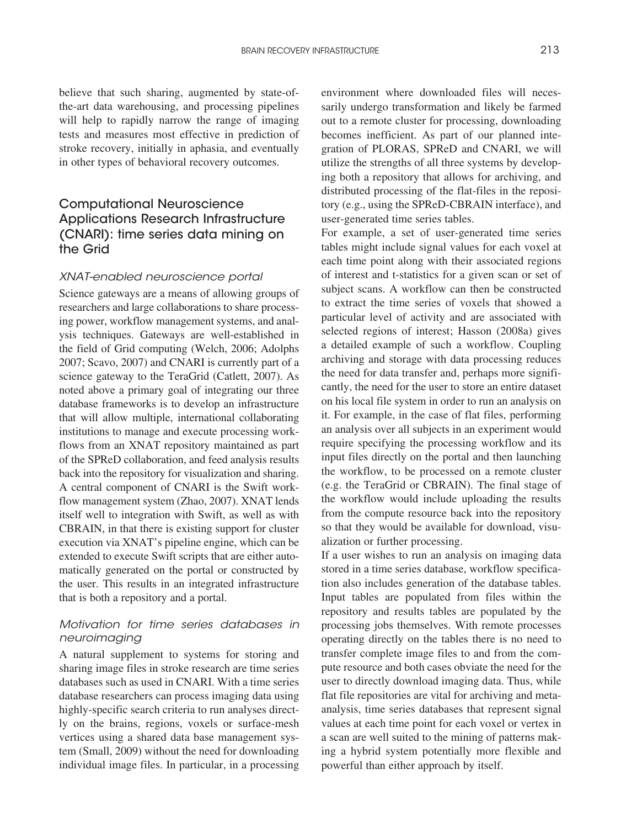believe that such sharing, augmented by state-ofthe-art data warehousing, and processing pipelines will help to rapidly narrow the range of imaging tests and measures most effective in prediction of stroke recovery, initially in aphasia, and eventually in other types of behavioral recovery outcomes.

## Computational Neuroscience Applications Research Infrastructure (CNARI): time series data mining on the Grid

#### *XNAT-enabled neuroscience portal*

Science gateways are a means of allowing groups of researchers and large collaborations to share processing power, workflow management systems, and analysis techniques. Gateways are well-established in the field of Grid computing (Welch, 2006; Adolphs 2007; Scavo, 2007) and CNARI is currently part of a science gateway to the TeraGrid (Catlett, 2007). As noted above a primary goal of integrating our three database frameworks is to develop an infrastructure that will allow multiple, international collaborating institutions to manage and execute processing workflows from an XNAT repository maintained as part of the SPReD collaboration, and feed analysis results back into the repository for visualization and sharing. A central component of CNARI is the Swift workflow management system (Zhao, 2007). XNAT lends itself well to integration with Swift, as well as with CBRAIN, in that there is existing support for cluster execution via XNAT's pipeline engine, which can be extended to execute Swift scripts that are either automatically generated on the portal or constructed by the user. This results in an integrated infrastructure that is both a repository and a portal.

### *Motivation for time series databases in neuroimaging*

A natural supplement to systems for storing and sharing image files in stroke research are time series databases such as used in CNARI. With a time series database researchers can process imaging data using highly-specific search criteria to run analyses directly on the brains, regions, voxels or surface-mesh vertices using a shared data base management system (Small, 2009) without the need for downloading individual image files. In particular, in a processing environment where downloaded files will necessarily undergo transformation and likely be farmed out to a remote cluster for processing, downloading becomes inefficient. As part of our planned integration of PLORAS, SPReD and CNARI, we will utilize the strengths of all three systems by developing both a repository that allows for archiving, and distributed processing of the flat-files in the repository (e.g., using the SPReD-CBRAIN interface), and user-generated time series tables.

For example, a set of user-generated time series tables might include signal values for each voxel at each time point along with their associated regions of interest and t-statistics for a given scan or set of subject scans. A workflow can then be constructed to extract the time series of voxels that showed a particular level of activity and are associated with selected regions of interest; Hasson (2008a) gives a detailed example of such a workflow. Coupling archiving and storage with data processing reduces the need for data transfer and, perhaps more significantly, the need for the user to store an entire dataset on his local file system in order to run an analysis on it. For example, in the case of flat files, performing an analysis over all subjects in an experiment would require specifying the processing workflow and its input files directly on the portal and then launching the workflow, to be processed on a remote cluster (e.g. the TeraGrid or CBRAIN). The final stage of the workflow would include uploading the results from the compute resource back into the repository so that they would be available for download, visualization or further processing.

If a user wishes to run an analysis on imaging data stored in a time series database, workflow specification also includes generation of the database tables. Input tables are populated from files within the repository and results tables are populated by the processing jobs themselves. With remote processes operating directly on the tables there is no need to transfer complete image files to and from the compute resource and both cases obviate the need for the user to directly download imaging data. Thus, while flat file repositories are vital for archiving and metaanalysis, time series databases that represent signal values at each time point for each voxel or vertex in a scan are well suited to the mining of patterns making a hybrid system potentially more flexible and powerful than either approach by itself.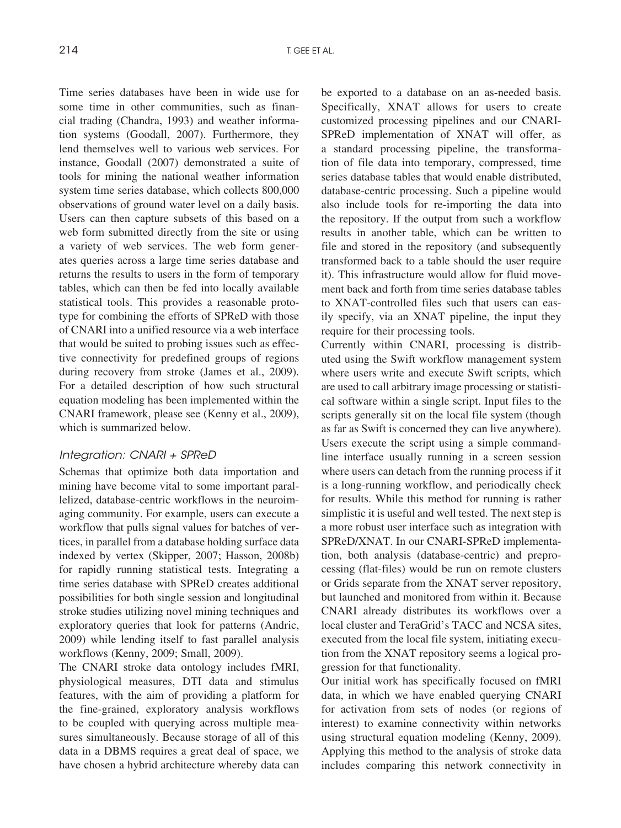Time series databases have been in wide use for some time in other communities, such as financial trading (Chandra, 1993) and weather information systems (Goodall, 2007). Furthermore, they lend themselves well to various web services. For instance, Goodall (2007) demonstrated a suite of tools for mining the national weather information system time series database, which collects 800,000 observations of ground water level on a daily basis. Users can then capture subsets of this based on a web form submitted directly from the site or using a variety of web services. The web form generates queries across a large time series database and returns the results to users in the form of temporary tables, which can then be fed into locally available statistical tools. This provides a reasonable prototype for combining the efforts of SPReD with those of CNARI into a unified resource via a web interface that would be suited to probing issues such as effective connectivity for predefined groups of regions during recovery from stroke (James et al., 2009). For a detailed description of how such structural equation modeling has been implemented within the CNARI framework, please see (Kenny et al., 2009), which is summarized below.

#### *Integration: CNARI + SPReD*

Schemas that optimize both data importation and mining have become vital to some important parallelized, database-centric workflows in the neuroimaging community. For example, users can execute a workflow that pulls signal values for batches of vertices, in parallel from a database holding surface data indexed by vertex (Skipper, 2007; Hasson, 2008b) for rapidly running statistical tests. Integrating a time series database with SPReD creates additional possibilities for both single session and longitudinal stroke studies utilizing novel mining techniques and exploratory queries that look for patterns (Andric, 2009) while lending itself to fast parallel analysis workflows (Kenny, 2009; Small, 2009).

The CNARI stroke data ontology includes fMRI, physiological measures, DTI data and stimulus features, with the aim of providing a platform for the fine-grained, exploratory analysis workflows to be coupled with querying across multiple measures simultaneously. Because storage of all of this data in a DBMS requires a great deal of space, we have chosen a hybrid architecture whereby data can be exported to a database on an as-needed basis. Specifically, XNAT allows for users to create customized processing pipelines and our CNARI-SPReD implementation of XNAT will offer, as a standard processing pipeline, the transformation of file data into temporary, compressed, time series database tables that would enable distributed, database-centric processing. Such a pipeline would also include tools for re-importing the data into the repository. If the output from such a workflow results in another table, which can be written to file and stored in the repository (and subsequently transformed back to a table should the user require it). This infrastructure would allow for fluid movement back and forth from time series database tables to XNAT-controlled files such that users can easily specify, via an XNAT pipeline, the input they require for their processing tools.

Currently within CNARI, processing is distributed using the Swift workflow management system where users write and execute Swift scripts, which are used to call arbitrary image processing or statistical software within a single script. Input files to the scripts generally sit on the local file system (though as far as Swift is concerned they can live anywhere). Users execute the script using a simple commandline interface usually running in a screen session where users can detach from the running process if it is a long-running workflow, and periodically check for results. While this method for running is rather simplistic it is useful and well tested. The next step is a more robust user interface such as integration with SPReD/XNAT. In our CNARI-SPReD implementation, both analysis (database-centric) and preprocessing (flat-files) would be run on remote clusters or Grids separate from the XNAT server repository, but launched and monitored from within it. Because CNARI already distributes its workflows over a local cluster and TeraGrid's TACC and NCSA sites, executed from the local file system, initiating execution from the XNAT repository seems a logical progression for that functionality.

Our initial work has specifically focused on fMRI data, in which we have enabled querying CNARI for activation from sets of nodes (or regions of interest) to examine connectivity within networks using structural equation modeling (Kenny, 2009). Applying this method to the analysis of stroke data includes comparing this network connectivity in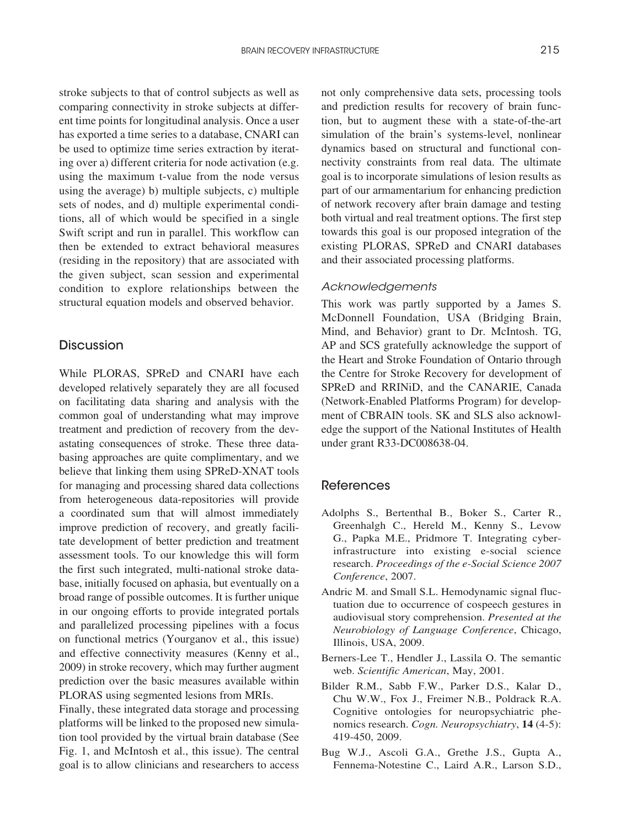stroke subjects to that of control subjects as well as comparing connectivity in stroke subjects at different time points for longitudinal analysis. Once a user has exported a time series to a database, CNARI can be used to optimize time series extraction by iterating over a) different criteria for node activation (e.g. using the maximum t-value from the node versus using the average) b) multiple subjects, c) multiple sets of nodes, and d) multiple experimental conditions, all of which would be specified in a single Swift script and run in parallel. This workflow can then be extended to extract behavioral measures (residing in the repository) that are associated with the given subject, scan session and experimental condition to explore relationships between the structural equation models and observed behavior.

#### **Discussion**

While PLORAS, SPReD and CNARI have each developed relatively separately they are all focused on facilitating data sharing and analysis with the common goal of understanding what may improve treatment and prediction of recovery from the devastating consequences of stroke. These three databasing approaches are quite complimentary, and we believe that linking them using SPReD-XNAT tools for managing and processing shared data collections from heterogeneous data-repositories will provide a coordinated sum that will almost immediately improve prediction of recovery, and greatly facilitate development of better prediction and treatment assessment tools. To our knowledge this will form the first such integrated, multi-national stroke database, initially focused on aphasia, but eventually on a broad range of possible outcomes. It is further unique in our ongoing efforts to provide integrated portals and parallelized processing pipelines with a focus on functional metrics (Yourganov et al., this issue) and effective connectivity measures (Kenny et al., 2009) in stroke recovery, which may further augment prediction over the basic measures available within PLORAS using segmented lesions from MRIs.

Finally, these integrated data storage and processing platforms will be linked to the proposed new simulation tool provided by the virtual brain database (See Fig. 1, and McIntosh et al., this issue). The central goal is to allow clinicians and researchers to access not only comprehensive data sets, processing tools and prediction results for recovery of brain function, but to augment these with a state-of-the-art simulation of the brain's systems-level, nonlinear dynamics based on structural and functional connectivity constraints from real data. The ultimate goal is to incorporate simulations of lesion results as part of our armamentarium for enhancing prediction of network recovery after brain damage and testing both virtual and real treatment options. The first step towards this goal is our proposed integration of the existing PLORAS, SPReD and CNARI databases and their associated processing platforms.

#### *Acknowledgements*

This work was partly supported by a James S. McDonnell Foundation, USA (Bridging Brain, Mind, and Behavior) grant to Dr. McIntosh. TG, AP and SCS gratefully acknowledge the support of the Heart and Stroke Foundation of Ontario through the Centre for Stroke Recovery for development of SPReD and RRINiD, and the CANARIE, Canada (Network-Enabled Platforms Program) for development of CBRAIN tools. SK and SLS also acknowledge the support of the National Institutes of Health under grant R33-DC008638-04.

#### References

- Adolphs S., Bertenthal B., Boker S., Carter R., Greenhalgh C., Hereld M., Kenny S., Levow G., Papka M.E., Pridmore T. Integrating cyberinfrastructure into existing e-social science research. *Proceedings of the e-Social Science 2007 Conference*, 2007.
- Andric M. and Small S.L. Hemodynamic signal fluctuation due to occurrence of cospeech gestures in audiovisual story comprehension. *Presented at the Neurobiology of Language Conference*, Chicago, Illinois, USA, 2009.
- Berners-Lee T., Hendler J., Lassila O. The semantic web. *Scientific American*, May, 2001.
- Bilder R.M., Sabb F.W., Parker D.S., Kalar D., Chu W.W., Fox J., Freimer N.B., Poldrack R.A. Cognitive ontologies for neuropsychiatric phenomics research. *Cogn. Neuropsychiatry*, **14** (4-5): 419-450, 2009.
- Bug W.J., Ascoli G.A., Grethe J.S., Gupta A., Fennema-Notestine C., Laird A.R., Larson S.D.,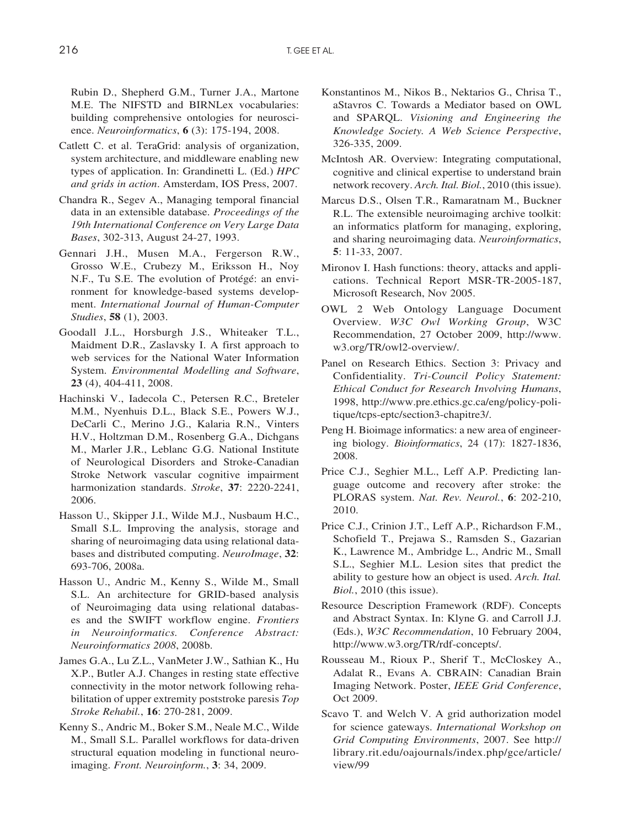Rubin D., Shepherd G.M., Turner J.A., Martone M.E. The NIFSTD and BIRNLex vocabularies: building comprehensive ontologies for neuroscience. *Neuroinformatics*, **6** (3): 175-194, 2008.

- Catlett C. et al. TeraGrid: analysis of organization, system architecture, and middleware enabling new types of application. In: Grandinetti L. (Ed.) *HPC and grids in action*. Amsterdam, IOS Press, 2007.
- Chandra R., Segev A., Managing temporal financial data in an extensible database. *Proceedings of the 19th International Conference on Very Large Data Bases*, 302-313, August 24-27, 1993.
- Gennari J.H., Musen M.A., Fergerson R.W., Grosso W.E., Crubezy M., Eriksson H., Noy N.F., Tu S.E. The evolution of Protégé: an environment for knowledge-based systems development. *International Journal of Human-Computer Studies*, **58** (1), 2003.
- Goodall J.L., Horsburgh J.S., Whiteaker T.L., Maidment D.R., Zaslavsky I. A first approach to web services for the National Water Information System. *Environmental Modelling and Software*, **23** (4), 404-411, 2008.
- Hachinski V., Iadecola C., Petersen R.C., Breteler M.M., Nyenhuis D.L., Black S.E., Powers W.J., DeCarli C., Merino J.G., Kalaria R.N., Vinters H.V., Holtzman D.M., Rosenberg G.A., Dichgans M., Marler J.R., Leblanc G.G. National Institute of Neurological Disorders and Stroke-Canadian Stroke Network vascular cognitive impairment harmonization standards. *Stroke*, **37**: 2220-2241, 2006.
- Hasson U., Skipper J.I., Wilde M.J., Nusbaum H.C., Small S.L. Improving the analysis, storage and sharing of neuroimaging data using relational databases and distributed computing. *NeuroImage*, **32**: 693-706, 2008a.
- Hasson U., Andric M., Kenny S., Wilde M., Small S.L. An architecture for GRID-based analysis of Neuroimaging data using relational databases and the SWIFT workflow engine. *Frontiers in Neuroinformatics. Conference Abstract: Neuroinformatics 2008*, 2008b.
- James G.A., Lu Z.L., VanMeter J.W., Sathian K., Hu X.P., Butler A.J. Changes in resting state effective connectivity in the motor network following rehabilitation of upper extremity poststroke paresis *Top Stroke Rehabil.*, **16**: 270-281, 2009.
- Kenny S., Andric M., Boker S.M., Neale M.C., Wilde M., Small S.L. Parallel workflows for data-driven structural equation modeling in functional neuroimaging. *Front. Neuroinform.*, **3**: 34, 2009.
- Konstantinos M., Nikos B., Nektarios G., Chrisa T., aStavros C. Towards a Mediator based on OWL and SPARQL. *Visioning and Engineering the Knowledge Society. A Web Science Perspective*, 326-335, 2009.
- McIntosh AR. Overview: Integrating computational, cognitive and clinical expertise to understand brain network recovery. *Arch. Ital. Biol.*, 2010 (this issue).
- Marcus D.S., Olsen T.R., Ramaratnam M., Buckner R.L. The extensible neuroimaging archive toolkit: an informatics platform for managing, exploring, and sharing neuroimaging data. *Neuroinformatics*, **5**: 11-33, 2007.
- Mironov I. Hash functions: theory, attacks and applications. Technical Report MSR-TR-2005-187, Microsoft Research, Nov 2005.
- OWL 2 Web Ontology Language Document Overview. *W3C Owl Working Group*, W3C Recommendation, 27 October 2009, http://www. w3.org/TR/owl2-overview/.
- Panel on Research Ethics. Section 3: Privacy and Confidentiality. *Tri-Council Policy Statement: Ethical Conduct for Research Involving Humans*, 1998, http://www.pre.ethics.gc.ca/eng/policy-politique/tcps-eptc/section3-chapitre3/.
- Peng H. Bioimage informatics: a new area of engineering biology. *Bioinformatics*, 24 (17): 1827-1836, 2008.
- Price C.J., Seghier M.L., Leff A.P. Predicting language outcome and recovery after stroke: the PLORAS system. *Nat. Rev. Neurol.*, **6**: 202-210, 2010.
- Price C.J., Crinion J.T., Leff A.P., Richardson F.M., Schofield T., Prejawa S., Ramsden S., Gazarian K., Lawrence M., Ambridge L., Andric M., Small S.L., Seghier M.L. Lesion sites that predict the ability to gesture how an object is used. *Arch. Ital. Biol.*, 2010 (this issue).
- Resource Description Framework (RDF). Concepts and Abstract Syntax. In: Klyne G. and Carroll J.J. (Eds.), *W3C Recommendation*, 10 February 2004, http://www.w3.org/TR/rdf-concepts/.
- Rousseau M., Rioux P., Sherif T., McCloskey A., Adalat R., Evans A. CBRAIN: Canadian Brain Imaging Network. Poster, *IEEE Grid Conference*, Oct 2009.
- Scavo T. and Welch V. A grid authorization model for science gateways. *International Workshop on Grid Computing Environments*, 2007. See http:// library.rit.edu/oajournals/index.php/gce/article/ view/99